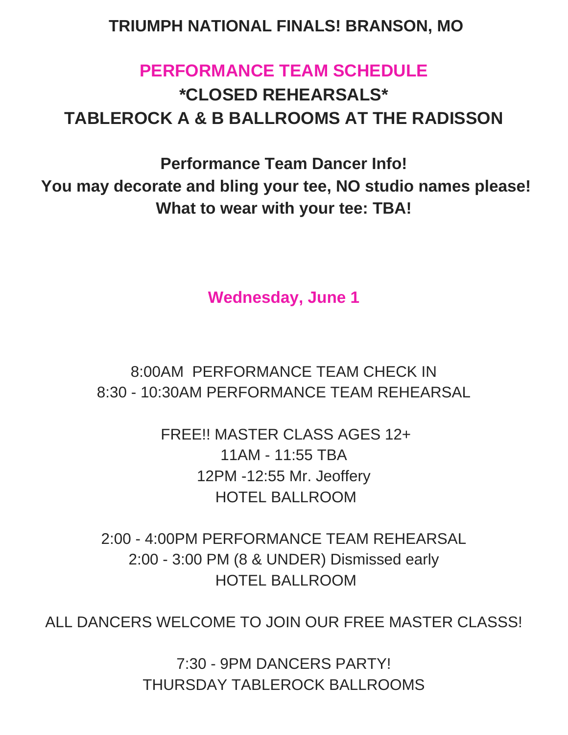## **TRIUMPH NATIONAL FINALS! BRANSON, MO**

# **PERFORMANCE TEAM SCHEDULE \*CLOSED REHEARSALS\* TABLEROCK A & B BALLROOMS AT THE RADISSON**

**Performance Team Dancer Info! You may decorate and bling your tee, NO studio names please! What to wear with your tee: TBA!**

**Wednesday, June 1**

8:00AM PERFORMANCE TEAM CHECK IN 8:30 - 10:30AM PERFORMANCE TEAM REHEARSAL

> FREE!! MASTER CLASS AGES 12+ 11AM - 11:55 TBA 12PM -12:55 Mr. Jeoffery HOTEL BALLROOM

2:00 - 4:00PM PERFORMANCE TEAM REHEARSAL 2:00 - 3:00 PM (8 & UNDER) Dismissed early HOTEL BALLROOM

ALL DANCERS WELCOME TO JOIN OUR FREE MASTER CLASSS!

7:30 - 9PM DANCERS PARTY! THURSDAY TABLEROCK BALLROOMS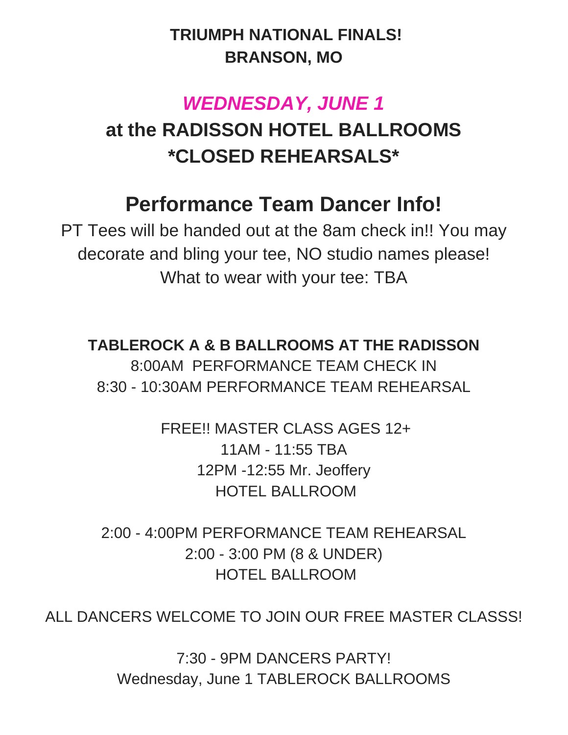# **TRIUMPH NATIONAL FINALS! BRANSON, MO**

# *WEDNESDAY, JUNE 1*

# **at the RADISSON HOTEL BALLROOMS \*CLOSED REHEARSALS\***

# **Performance Team Dancer Info!**

PT Tees will be handed out at the 8am check in!! You may decorate and bling your tee, NO studio names please! What to wear with your tee: TBA

**TABLEROCK A & B BALLROOMS AT THE RADISSON** 8:00AM PERFORMANCE TEAM CHECK IN 8:30 - 10:30AM PERFORMANCE TEAM REHEARSAL

> FREE!! MASTER CLASS AGES 12+ 11AM - 11:55 TBA 12PM -12:55 Mr. Jeoffery HOTEL BALLROOM

2:00 - 4:00PM PERFORMANCE TEAM REHEARSAL 2:00 - 3:00 PM (8 & UNDER) HOTEL BALLROOM

ALL DANCERS WELCOME TO JOIN OUR FREE MASTER CLASSS!

7:30 - 9PM DANCERS PARTY! Wednesday, June 1 TABLEROCK BALLROOMS